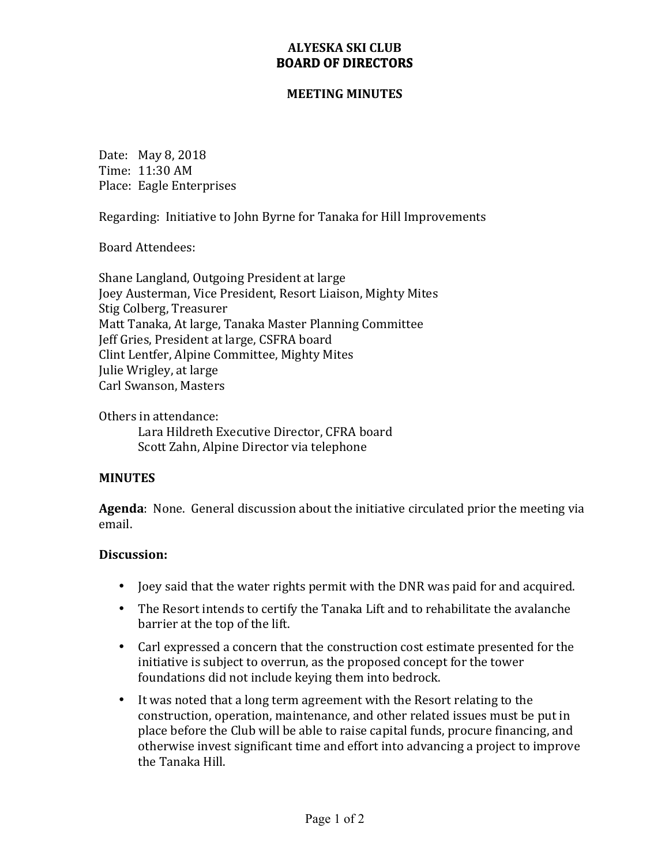## **ALYESKA SKI CLUB BOARD OF DIRECTORS**

#### **MEETING MINUTES**

Date: May 8, 2018 Time: 11:30 AM Place: Eagle Enterprises

Regarding: Initiative to John Byrne for Tanaka for Hill Improvements

Board Attendees:

Shane Langland, Outgoing President at large Joey Austerman, Vice President, Resort Liaison, Mighty Mites Stig Colberg, Treasurer Matt Tanaka, At large, Tanaka Master Planning Committee Jeff Gries, President at large, CSFRA board Clint Lentfer, Alpine Committee, Mighty Mites Julie Wrigley, at large Carl Swanson, Masters

Others in attendance: Lara Hildreth Executive Director, CFRA board Scott Zahn, Alpine Director via telephone

### **MINUTES**

**Agenda**: None. General discussion about the initiative circulated prior the meeting via email.

#### **Discussion:**

- Joey said that the water rights permit with the DNR was paid for and acquired.
- The Resort intends to certify the Tanaka Lift and to rehabilitate the avalanche barrier at the top of the lift.
- Carl expressed a concern that the construction cost estimate presented for the initiative is subject to overrun, as the proposed concept for the tower foundations did not include keying them into bedrock.
- It was noted that a long term agreement with the Resort relating to the construction, operation, maintenance, and other related issues must be put in place before the Club will be able to raise capital funds, procure financing, and otherwise invest significant time and effort into advancing a project to improve the Tanaka Hill.